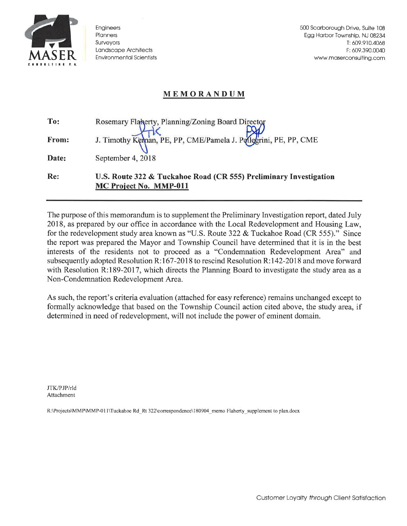

Engineers Planners Surveyors Landscape Architects **Environmental Scientists** 

500 Scarborough Drive, Suite 108 Egg Harbor Township, NJ 08234 T: 609.910.4068 F: 609.390.0040 www.maserconsulting.com

## **MEMORANDUM**

| To:   | Rosemary Flanerty, Planning/Zoning Board Director                                           |
|-------|---------------------------------------------------------------------------------------------|
| From: | J. Timothy Keman, PE, PP, CME/Pamela J. Pollegrini, PE, PP, CME                             |
| Date: | September 4, $2018$                                                                         |
| Re:   | U.S. Route 322 & Tuckahoe Road (CR 555) Preliminary Investigation<br>MC Project No. MMP-011 |

The purpose of this memorandum is to supplement the Preliminary Investigation report, dated July 2018, as prepared by our office in accordance with the Local Redevelopment and Housing Law, for the redevelopment study area known as "U.S. Route 322 & Tuckahoe Road (CR 555)." Since the report was prepared the Mayor and Township Council have determined that it is in the best interests of the residents not to proceed as a "Condemnation Redevelopment Area" and subsequently adopted Resolution R:167-2018 to rescind Resolution R:142-2018 and move forward with Resolution R:189-2017, which directs the Planning Board to investigate the study area as a Non-Condemnation Redevelopment Area.

As such, the report's criteria evaluation (attached for easy reference) remains unchanged except to formally acknowledge that based on the Township Council action cited above, the study area, if determined in need of redevelopment, will not include the power of eminent domain.

JTK/PJP/rld Attachment

R:\Projects\MMP\MMP-011\Tuckahoe Rd\_Rt 322\correspondence\180904\_memo Flaherty\_supplement to plan.docx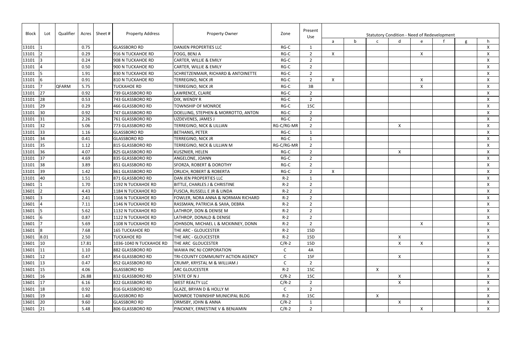| Block<br>Lot |              | Qualifier    |       | Acres   Sheet # | <b>Property Address</b> | <b>Property Owner</b>               | Zone         | Present<br>Use | <b>Statutory Condition - Need of Redevelopment</b> |   |                           |                           |   |  |  |    |
|--------------|--------------|--------------|-------|-----------------|-------------------------|-------------------------------------|--------------|----------------|----------------------------------------------------|---|---------------------------|---------------------------|---|--|--|----|
|              |              |              |       |                 |                         |                                     |              |                | a                                                  | b |                           |                           | e |  |  |    |
| 13101        |              |              | 0.75  |                 | <b>GLASSBORO RD</b>     | <b>DANJEN PROPERTIES LLC</b>        | RG-C         | $\mathbf{1}$   |                                                    |   |                           |                           |   |  |  | X  |
| 13101        |              |              | 0.29  |                 | 916 N TUCKAHOE RD       | FOGG, BENJ A                        | RG-C         | $\overline{2}$ | $\boldsymbol{\mathsf{X}}$                          |   |                           |                           | X |  |  | X  |
| 13101        |              |              | 0.24  |                 | 908 N TUCKAHOE RD       | CARTER, WILLIE & EMILY              | $RG-C$       | $\overline{2}$ |                                                    |   |                           |                           |   |  |  | X  |
| 13101        |              |              | 0.50  |                 | 900 N TUCKAHOE RD       | CARTER, WILLIE & EMILY              | $RG-C$       | $\overline{2}$ |                                                    |   |                           |                           |   |  |  | X  |
| 13101        |              |              | 1.91  |                 | 830 N TUCKAHOE RD       | SCHRETZENMAIR, RICHARD & ANTOINETTE | RG-C         | $\overline{2}$ |                                                    |   |                           |                           |   |  |  | X  |
| 13101        |              |              | 0.91  |                 | 810 N TUCKAHOE RD       | <b>TERREGINO, NICK JR</b>           | RG-C         | $\overline{2}$ | $\mathsf{X}$                                       |   |                           |                           | Χ |  |  | X  |
| 13101        |              | <b>QFARM</b> | 5.75  |                 | <b>TUCKAHOE RD</b>      | <b>TERREGINO, NICK JR</b>           | $RG-C$       | 3B             |                                                    |   |                           |                           | X |  |  | X  |
| 13101        | 27           |              | 0.92  |                 | 739 GLASSBORO RD        | LAWRENCE, CLAIRE                    | RG-C         | $\overline{2}$ |                                                    |   |                           |                           |   |  |  | X  |
| 13101        | 28           |              | 0.53  |                 | 743 GLASSBORO RD        | DIX, WENDY R                        | RG-C         | $\overline{2}$ |                                                    |   |                           |                           |   |  |  | X  |
| 13101        | 29           |              | 0.29  |                 | 466 GLASSBORO RD        | <b>TOWNSHIP OF MONROE</b>           | $RG-C$       | 15C            |                                                    |   |                           |                           |   |  |  | X  |
| 13101        | 30           |              | 0.92  |                 | 747 GLASSBORO RD        | DOELLING, STEPHEN & MORROTTO, ANTON | $RG-C$       | $\overline{2}$ |                                                    |   |                           |                           |   |  |  | X  |
| 13101        | 131          |              | 2.26  |                 | 761 GLASSBORO RD        | UZDEVENES, JAMES J                  | $RG-C$       | $\overline{2}$ |                                                    |   |                           |                           |   |  |  | X  |
| 13101        | 32           |              | 5.06  |                 | 773 GLASSBORO RD        | TERREGINO, NICK & LILLIAN           | RG-C/RG-MR   | $\overline{2}$ |                                                    |   |                           | X                         |   |  |  | X  |
| 13101        | 33           |              | 1.16  |                 | <b>GLASSBORO RD</b>     | <b>BETHANIS, PETER</b>              | RG-C         | 1              |                                                    |   |                           |                           |   |  |  | X  |
| 13101        | 34           |              | 0.41  |                 | <b>GLASSBORO RD</b>     | TERREGINO, NICK JR                  | $RG-C$       | $\mathbf{1}$   |                                                    |   |                           |                           |   |  |  | X  |
| 13101        | 35           |              | 1.12  |                 | 815 GLASSBORO RD        | TERREGINO, NICK & LILLIAN M         | RG-C/RG-MR   | $\overline{2}$ |                                                    |   |                           |                           |   |  |  | X  |
| 13101        | 36           |              | 4.07  |                 | 825 GLASSBORO RD        | KUSZNIER, HELEN                     | RG-C         | $\overline{2}$ |                                                    |   |                           | $\boldsymbol{\mathsf{X}}$ |   |  |  | X  |
| 13101        | 37           |              | 4.69  |                 | 835 GLASSBORO RD        | ANGELONE, JOANN                     | RG-C         | $\overline{2}$ |                                                    |   |                           |                           |   |  |  | X  |
| 13101        | 38           |              | 3.89  |                 | 851 GLASSBORO RD        | SFORZA, ROBERT & DOROTHY            | RG-C         | $\overline{2}$ |                                                    |   |                           |                           |   |  |  | X  |
| 13101        | 39           |              | 1.42  |                 | 861 GLASSBORO RD        | <b>ORLICH, ROBERT &amp; ROBERTA</b> | RG-C         | $\overline{2}$ | $\boldsymbol{\mathsf{X}}$                          |   |                           |                           |   |  |  | X  |
| 13101        | 40           |              | 1.51  |                 | 871 GLASSBORO RD        | DAN JEN PROPERTIES LLC              | $R-2$        | $\mathbf 1$    |                                                    |   |                           |                           |   |  |  | X  |
| 13601        |              |              | 1.70  |                 | 1192 N TUCKAHOE RD      | BITTLE, CHARLES J & CHRISTINE       | $R-2$        | $\overline{2}$ |                                                    |   |                           |                           |   |  |  | X  |
| 13601        |              |              | 4.43  |                 | 1184 N TUCKAHOE RD      | FUSCIA, RUSSELL E JR & LINDA        | $R-2$        | $\overline{2}$ |                                                    |   |                           |                           |   |  |  | X  |
| 13601        |              |              | 2.41  |                 | 1166 N TUCKAHOE RD      | FOWLER, NORA ANNA & NORMAN RICHARD  | $R-2$        | $\overline{2}$ |                                                    |   |                           |                           |   |  |  | X  |
| 13601        |              |              | 7.11  |                 | 1146 N TUCKAHOE RD      | RASSMAN, PATRICIA & SAIIA, DEBRA    | $R-2$        | $\overline{2}$ |                                                    |   |                           |                           |   |  |  | X  |
| 13601        |              |              | 5.62  |                 | 1132 N TUCKAHOE RD      | LATHROP, DON & DENISE M             | $R-2$        | $\overline{2}$ |                                                    |   |                           |                           |   |  |  | X. |
| 13601        |              |              | 0.87  |                 | 1122 N TUCKAHOE RD      | LATHROP, DONALD & DENISE            | $R-2$        | $\overline{2}$ |                                                    |   |                           |                           |   |  |  | X. |
| 13601        |              |              | 5.69  |                 | 1108 N TUCKAHOE RD      | JOHNSON, MICHAEL L & MCKINNEY, DONN | $R-2$        | $\overline{2}$ |                                                    |   |                           |                           | X |  |  | X  |
| 13601        |              |              | 7.68  |                 | <b>165 TUCKAHOE RD</b>  | THE ARC - GLOUCESTER                | $R-2$        | 15D            |                                                    |   |                           |                           |   |  |  | X  |
| 13601        | 8.01         |              | 2.50  |                 | <b>TUCKAHOE RD</b>      | THE ARC - GLOUCESTER                | $R-2$        | 15D            |                                                    |   |                           | X                         |   |  |  | X  |
| 13601        | $ 10\rangle$ |              | 17.81 |                 | 1036-1040 N TUCKAHOE RD | THE ARC GLOUCESTER                  | $C/R-2$      | 15D            |                                                    |   |                           | X                         | X |  |  | X  |
| 13601        | 11           |              | 1.10  |                 | 882 GLASSBORO RD        | WAWA INC NJ CORPORATION             | $\mathsf{C}$ | 4A             |                                                    |   |                           |                           |   |  |  | X  |
| 13601        | $\vert$ 12   |              | 0.47  |                 | 854 GLASSBORO RD        | TRI-COUNTY COMMUNITY ACTION AGENCY  | $\mathsf{C}$ | 15F            |                                                    |   |                           | X                         |   |  |  | X  |
| 13601        | $\vert$ 13   |              | 0.47  |                 | 852 GLASSBORO RD        | CRUMP, KRYSTAL M & WILLIAM J        | $\mathsf{C}$ | $\overline{2}$ |                                                    |   |                           |                           |   |  |  | X. |
| 13601        | $\vert$ 15   |              | 4.06  |                 | <b>GLASSBORO RD</b>     | <b>ARC GLOUCESTER</b>               | $R-2$        | 15C            |                                                    |   | $\boldsymbol{\mathsf{X}}$ |                           |   |  |  | X  |
| 13601        | 16           |              | 26.88 |                 | 832 GLASSBORO RD        | <b>STATE OF NJ</b>                  | $C/R-2$      | 15C            |                                                    |   |                           | X                         |   |  |  | X. |
| 13601        | $\vert$ 17   |              | 6.16  |                 | 822 GLASSBORO RD        | <b>WEST REALTY LLC</b>              | $C/R-2$      | $\overline{2}$ |                                                    |   |                           | $\boldsymbol{\mathsf{X}}$ |   |  |  | X. |
| 13601        | 18           |              | 0.92  |                 | 816 GLASSBORO RD        | GLAZE, BRYAN D & HOLLY M            | $\mathsf{C}$ | $\overline{2}$ |                                                    |   |                           |                           |   |  |  | X  |
| 13601        | $ 19\rangle$ |              | 1.40  |                 | <b>GLASSBORO RD</b>     | MONROE TOWNSHIP MUNICIPAL BLDG      | $R-2$        | 15C            |                                                    |   | $\boldsymbol{\mathsf{X}}$ |                           |   |  |  | X. |
| 13601        | 20           |              | 9.60  |                 | <b>GLASSBORO RD</b>     | ORMSBY, JOHN & ANNA                 | $C/R-2$      | -1             |                                                    |   |                           | X                         |   |  |  | X  |
| $13601$ 21   |              |              | 5.48  |                 | 806 GLASSBORO RD        | PINCKNEY, ERNESTINE V & BENJAMIN    | $C/R-2$      | $\overline{2}$ |                                                    |   |                           |                           | X |  |  | X. |